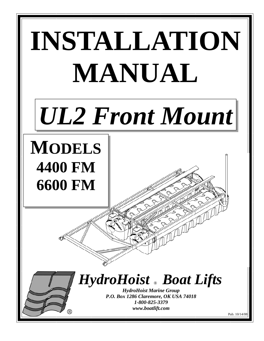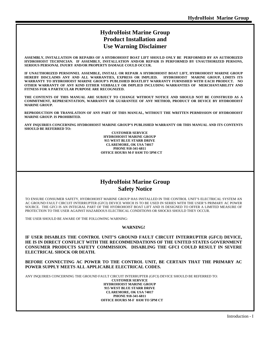### **HydroHoist Marine Group Product Installation and Use Warning Disclaimer**

**ASSEMBLY, INSTALLATION OR REPAIRS OF A HYDROHOIST BOAT LIFT SHOULD ONLY BE PERFORMED BY AN AUTHORIZED HYDROHOIST TECHNICIAN. IF ASSEMBLY, INSTALLATION AND/OR REPAIR IS PERFORMED BY UNAUTHORIZED PERSONS, SERIOUS PERSONAL INJURY AND/OR PROPERTY DAMAGE COULD OCCUR.** 

 **IF UNAUTHORIZED PERSONNEL ASSEMBLE, INSTALL OR REPAIR A HYDROHOIST BOAT LIFT, HYDROHOIST MARINE GROUP HEREBY DISCLAIMS ANY AND ALL WARRANTIES, EXPRESS OR IMPLIED. HYDROHOIST MARINE GROUP, LIMITS ITS WARRANTY TO HYDROHOIST MARINE GROUP'S PUBLISHED BOATLIFT WARRANTY FURNISHED WITH EACH PRODUCT. NO OTHER WARRANTY OF ANY KIND EITHER VERBALLY OR IMPLIED INCLUDING WARRANTIES OF MERCHANTABILITY AND FITNESS FOR A PARTICULAR PURPOSE ARE RECOGNIZED.** 

 **THE CONTENTS OF THIS MANUAL ARE SUBJECT TO CHANGE WITHOUT NOTICE AND SHOULD NOT BE CONSTRUED AS A COMMITMENT, REPRESENTATION, WARRANTY OR GUARANTEE OF ANY METHOD, PRODUCT OR DEVICE BY HYDROHOIST MARINE GROUP.** 

 **REPRODUCTION OR TRANSLATION OF ANY PART OF THIS MANUAL, WITHOUT THE WRITTEN PERMISSION OF HYDROHOIST MARINE GROUP. IS PROHIBITED.** 

 **ANY INQUIRIES CONCERNING HYDROHOIST MARINE GROUP'S PUBLISHED WARRANTY OR THIS MANUAL AND ITS CONTENTS SHOULD BE REFERRED TO:** 

> **CUSTOMER SERVICE HYDROHOIST MARINE GROUP 915 WEST BLUE STARR DRIVE CLAREMORE, OK USA 74017 PHONE 918-341-6811 OFFICE HOURS M-F 8AM TO 5PM CT**

### **HydroHoist Marine Group Safety Notice**

TO ENSURE CONSUMER SAFETY, HYDROHOIST MARINE GROUP HAS INSTALLED IN THE CONTROL UNIT'S ELECTRICAL SYSTEM AN AC GROUND FAULT CIRCUIT INTERRUPTER (GFCI) DEVICE WHICH IS TO BE USED IN SERIES WITH THE USER'S PRIMARY AC POWER SOURCE. THE GFCI IS AN INTEGRAL PART OF THE HYDROHOIST BOAT LIFT AND IS DESIGNED TO OFFER A LIMITED MEASURE OF PROTECTION TO THE USER AGAINST HAZARDOUS ELECTRICAL CONDITIONS OR SHOCKS SHOULD THEY OCCUR.

THE USER SHOULD BE AWARE OF THE FOLLOWING WARNING:

#### **WARNING!**

**IF USER DISABLES THE CONTROL UNIT'S GROUND FAULT CIRCUIT INTERRUPTER (GFCI) DEVICE, HE IS IN DIRECT CONFLICT WITH THE RECOMMENDATIONS OF THE UNITED STATES GOVERNMENT CONSUMER PRODUCTS SAFETY COMMISSION. DISABLING THE GFCI COULD RESULT IN SEVERE ELECTRICAL SHOCK OR DEATH.** 

 **BEFORE CONNECTING AC POWER TO THE CONTROL UNIT, BE CERTAIN THAT THE PRIMARY AC POWER SUPPLY MEETS ALL APPLICABLE ELECTRICAL CODES.** 

ANY INQUIRIES CONCERNING THE GROUND FAULT CIRCUIT INTERRUPTER (GFCI) DEVICE SHOULD BE REFERRED TO:

**CUSTOMER SERVICE HYDROHOIST MARINE GROUP 915 WEST BLUE STARR DRIVE CLAREMORE, OK USA 74017 PHONE 918-341-6811 OFFICE HOURS M-F 8AM TO 5PM CT**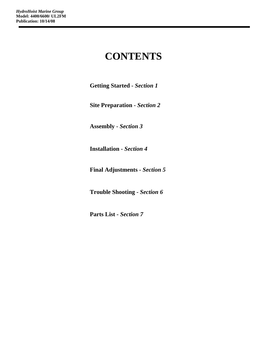### **CONTENTS**

**Getting Started -** *Section 1* 

**Site Preparation -** *Section 2* 

**Assembly -** *Section 3* 

**Installation -** *Section 4* 

**Final Adjustments -** *Section 5* 

**Trouble Shooting -** *Section 6* 

**Parts List** *- Section 7*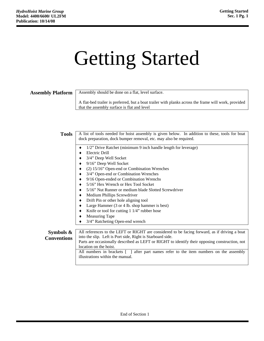## Getting Started

### **Assembly Platform** | Assembly should be done on a flat, level surface.

A flat-bed trailer is preferred, but a boat trailer with planks across the frame will work, provided that the assembly surface is flat and level

| <b>Tools</b>       | A list of tools needed for hoist assembly is given below. In addition to these, tools for boat                                                               |  |  |  |  |  |
|--------------------|--------------------------------------------------------------------------------------------------------------------------------------------------------------|--|--|--|--|--|
|                    | dock preparation, dock bumper removal, etc. may also be required.                                                                                            |  |  |  |  |  |
|                    | 1/2" Drive Ratchet (minimum 9 inch handle length for leverage)                                                                                               |  |  |  |  |  |
|                    | Electric Drill                                                                                                                                               |  |  |  |  |  |
|                    | 3/4" Deep Well Socket                                                                                                                                        |  |  |  |  |  |
|                    | 9/16" Deep Well Socket                                                                                                                                       |  |  |  |  |  |
|                    | (2) 15/16" Open-end or Combination Wrenches                                                                                                                  |  |  |  |  |  |
|                    | 3/4" Open-end or Combination Wrenches                                                                                                                        |  |  |  |  |  |
|                    | 9/16 Open-ended or Combination Wrenchs<br>٠                                                                                                                  |  |  |  |  |  |
|                    | 5/16" Hex Wrench or Hex Tool Socket                                                                                                                          |  |  |  |  |  |
|                    | 5/16" Nut Runner or medium blade Slotted Screwdriver                                                                                                         |  |  |  |  |  |
|                    | Medium Phillips Screwdriver<br>٠                                                                                                                             |  |  |  |  |  |
|                    | Drift Pin or other hole aligning tool                                                                                                                        |  |  |  |  |  |
|                    | Large Hammer (3 or 4 lb. shop hammer is best)                                                                                                                |  |  |  |  |  |
|                    | Knife or tool for cutting $1 \frac{1}{4}$ rubber hose                                                                                                        |  |  |  |  |  |
|                    | <b>Measuring Tape</b>                                                                                                                                        |  |  |  |  |  |
|                    | 3/4" Ratcheting Open-end wrench                                                                                                                              |  |  |  |  |  |
|                    |                                                                                                                                                              |  |  |  |  |  |
| Symbols $\&$       | All references to the LEFT or RIGHT are considered to be facing forward, as if driving a boat                                                                |  |  |  |  |  |
| <b>Conventions</b> | into the slip. Left is Port side, Right is Starboard side.<br>Parts are occasionally described as LEFT or RIGHT to identify their opposing construction, not |  |  |  |  |  |
|                    | location on the hoist.                                                                                                                                       |  |  |  |  |  |
|                    | All numbers in brackets [ ] after part names refer to the item numbers on the assembly                                                                       |  |  |  |  |  |
|                    | illustrations within the manual.                                                                                                                             |  |  |  |  |  |
|                    |                                                                                                                                                              |  |  |  |  |  |
|                    |                                                                                                                                                              |  |  |  |  |  |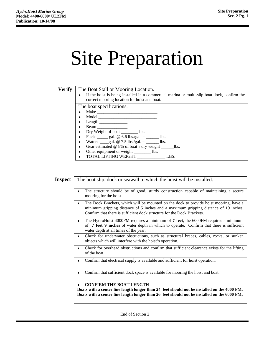## Site Preparation

**Verify** The Boat Stall or Mooring Location.

♦ If the hoist is being installed in a commercial marina or multi-slip boat dock, confirm the correct mooring location for hoist and boat.

The boat specifications.

- $\bullet$  Make
- $\bullet$  Model
- ♦ Length \_\_\_\_\_\_\_\_\_\_\_\_\_
- ♦ Beam \_\_\_\_\_\_\_\_\_\_\_\_\_\_
- ♦ Dry Weight of boat \_\_\_\_\_\_\_\_ lbs.
- Fuel: \_\_\_\_\_ gal. @  $6.6$  lbs./gal. = \_\_\_\_\_ lbs.
- Water: \_\_\_gal. @ 7.5 lbs./gal. = \_\_\_\_\_\_ lbs.
- ♦ Gear estimated @ 8% of boat's dry weight \_\_\_\_\_\_lbs.
- ♦ Other equipment or weight \_\_\_\_\_\_\_\_ lbs.
- ♦ TOTAL LIFTING WEIGHT \_\_\_\_\_\_\_\_\_\_\_\_\_ LBS.

| Inspect   | The boat slip, dock or seawall to which the hoist will be installed.                                                                                                                                                                                   |  |  |  |  |  |  |  |
|-----------|--------------------------------------------------------------------------------------------------------------------------------------------------------------------------------------------------------------------------------------------------------|--|--|--|--|--|--|--|
|           | The structure should be of good, sturdy construction capable of maintaining a secure<br>mooring for the hoist.                                                                                                                                         |  |  |  |  |  |  |  |
|           | The Dock Brackets, which will be mounted on the dock to provide hoist mooring, have a<br>minimum gripping distance of 5 inches and a maximum gripping distance of 19 inches.<br>Confirm that there is sufficient dock structure for the Dock Brackets. |  |  |  |  |  |  |  |
|           | The HydroHoist 4000FM requires a minimum of 7 feet, the 6000FM requires a minimum<br>of 7 feet 9 inches of water depth in which to operate. Confirm that there is sufficient<br>water depth at all times of the year.                                  |  |  |  |  |  |  |  |
| $\bullet$ | Check for underwater obstructions, such as structural braces, cables, rocks, or sunken<br>objects which will interfere with the hoist's operation.                                                                                                     |  |  |  |  |  |  |  |
| ٠         | Check for overhead obstructions and confirm that sufficient clearance exists for the lifting<br>of the boat.                                                                                                                                           |  |  |  |  |  |  |  |
|           | Confirm that electrical supply is available and sufficient for hoist operation.                                                                                                                                                                        |  |  |  |  |  |  |  |
|           | Confirm that sufficient dock space is available for mooring the hoist and boat.                                                                                                                                                                        |  |  |  |  |  |  |  |
|           | <b>CONFIRM THE BOAT LENGTH -</b><br>Boats with a center line length longer than 24 feet should not be installed on the 4000 FM.<br>Boats with a center line length longer than 26 feet should not be installed on the 6000 FM.                         |  |  |  |  |  |  |  |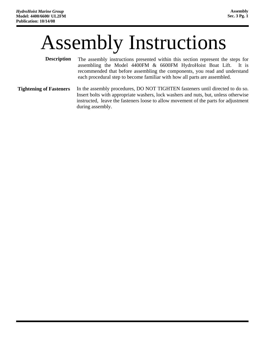### Assembly Instructions

- The assembly instructions presented within this section represent the steps for assembling the Model 4400FM & 6600FM HydroHoist Boat Lift. It is recommended that before assembling the components, you read and understand each procedural step to become familiar with how all parts are assembled. **Description**
- In the assembly procedures, DO NOT TIGHTEN fasteners until directed to do so. Insert bolts with appropriate washers, lock washers and nuts, but, unless otherwise instructed, leave the fasteners loose to allow movement of the parts for adjustment during assembly. **Tightening of Fasteners**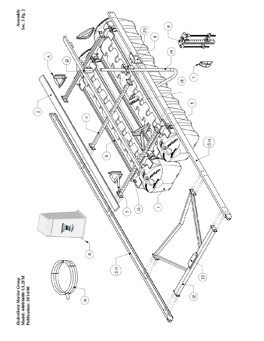

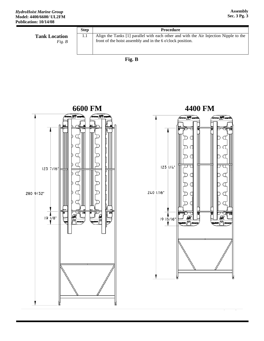|                                | <b>Step</b> | <b>Procedure</b>                                                                                                                                    |
|--------------------------------|-------------|-----------------------------------------------------------------------------------------------------------------------------------------------------|
| <b>Tank Location</b><br>Fig. B | 1.1         | Align the Tanks [1] parallel with each other and with the Air Injection Nipple to the<br>front of the hoist assembly and in the 6 o'clock position. |





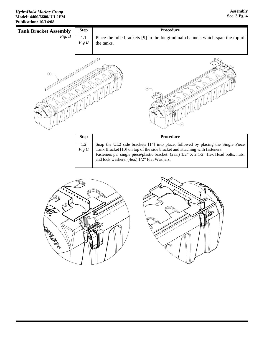

| <b>Step</b> | Procedure                                                                              |
|-------------|----------------------------------------------------------------------------------------|
| 1.2         | Snap the UL2 side brackets [14] into place, followed by placing the Single Piece       |
| Fig C       | Tank Bracket [10] on top of the side bracket and attaching with fasteners.             |
|             | Fasteners per single piece/plastic bracket: (2ea.) 1/2" X 2 1/2" Hex Head bolts, nuts, |
|             | and lock washers. (4ea.) 1/2" Flat Washers.                                            |
|             |                                                                                        |



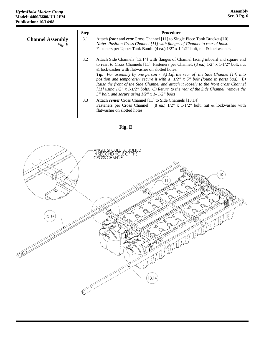|                                   | <b>Step</b> | <b>Procedure</b>                                                                                                                                                                                                                                                                                                                                                                                                                                                                                                                                                                                                                                                             |
|-----------------------------------|-------------|------------------------------------------------------------------------------------------------------------------------------------------------------------------------------------------------------------------------------------------------------------------------------------------------------------------------------------------------------------------------------------------------------------------------------------------------------------------------------------------------------------------------------------------------------------------------------------------------------------------------------------------------------------------------------|
| <b>Channel Assembly</b><br>Fig. E | 3.1         | Attach front and rear Cross Channel [11] to Single Piece Tank Brackets[10].<br><b>Note:</b> Position Cross Channel [11] with flanges of Channel to rear of hoist.<br>Fasteners per Upper Tank Band: $(4 \text{ ea.}) 1/2$ " x $1-1/2$ " bolt, nut & lockwasher.                                                                                                                                                                                                                                                                                                                                                                                                              |
|                                   | 3.2         | Attach Side Channels [13,14] with flanges of Channel facing inboard and square end<br>to rear, to Cross Channels [11] Fasteners per Channel: (8 ea.) $1/2$ " x 1-1/2" bolt, nut<br>& lockwasher with flatwasher on slotted holes.<br><b>Tip:</b> For assembly by one person $-$ A) Lift the rear of the Side Channel [14] into<br>position and temporarily secure it with a $1/2$ " x $5$ " bolt (found in parts bag). B)<br>Raise the front of the Side Channel and attach it loosely to the front cross Channel<br>[11] using $1/2$ " x $1$ - $1/2$ " bolts. C) Return to the rear of the Side Channel, remove the<br>5" bolt, and secure using $1/2$ " x 1- $1/2$ " bolts |
|                                   | 3.3         | Attach <i>center</i> Cross Channel [11] to Side Channels [13,14]<br>Fasteners per Cross Channel: (8 ea.) $1/2$ " x $1-1/2$ " bolt, nut & lockwasher with<br>flatwasher on slotted holes.                                                                                                                                                                                                                                                                                                                                                                                                                                                                                     |

### **Fig. E**

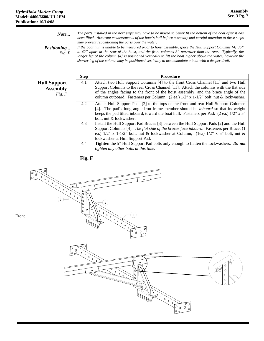| Note                         | The parts installed in the next steps may have to be moved to better fit the bottom of the boat after it has<br>been lifted. Accurate measurements of the boat's hull before assembly and careful attention to these steps                                                                                                                                                                                                                                                                      |
|------------------------------|-------------------------------------------------------------------------------------------------------------------------------------------------------------------------------------------------------------------------------------------------------------------------------------------------------------------------------------------------------------------------------------------------------------------------------------------------------------------------------------------------|
| <i>Positioning</i><br>Fig. F | may prevent repositioning the parts over the water.<br>If the boat hull is unable to be measured prior to hoist assembly, space the Hull Support Columns $[4]$ 36"<br>to 42" apart at the rear of the hoist, and the front columns 3" narrower than the rear. Typically, the<br>longer leg of the column [4] is positioned vertically to lift the boat higher above the water, however the<br>shorter leg of the column may be positioned vertically to accommodate a boat with a deeper draft. |

**Hull Support Assembly**  *Fig. F* 

| <b>Step</b> | <b>Procedure</b>                                                                                    |
|-------------|-----------------------------------------------------------------------------------------------------|
| 4.1         | Attach two Hull Support Columns [4] to the front Cross Channel [11] and two Hull                    |
|             | Support Columns to the rear Cross Channel [11]. Attach the columns with the flat side               |
|             | of the angles facing to the front of the hoist assembly, and the brace angle of the                 |
|             | column outboard. Fasteners per Column: $(2 \text{ ea.}) 1/2$ " x $1-1/2$ " bolt, nut & lockwasher.  |
| 4.2         | Attach Hull Support Pads [2] to the tops of the front and rear Hull Support Columns                 |
|             | [4]. The pad's long angle iron frame member should be <i>inboard</i> so that its weight             |
|             | keeps the pad tilted inboard, toward the boat hull. Fasteners per Pad: $(2 \text{ ea.}) 1/2$ " x 5" |
|             | bolt, nut & lockwasher.                                                                             |
| 4.3         | Install the Hull Support Pad Braces [3] between the Hull Support Pads [2] and the Hull              |
|             | Support Columns [4]. The flat side of the braces face inboard. Fasteners per Brace: (1)             |
|             | ea.) $1/2$ " x $1-1/2$ " bolt, nut & lockwasher at Column; (1ea) $1/2$ " x 5" bolt, nut &           |
|             | lockwasher at Hull Support Pad.                                                                     |
| 4.4         | Tighten the 5" Hull Support Pad bolts only enough to flatten the lockwashers. Do not                |
|             | tighten any other bolts at this time.                                                               |



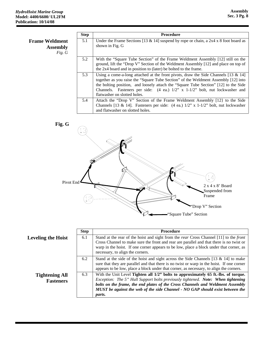|                                                    | <b>Step</b> | <b>Procedure</b>                                                                                                                                                                                                                                                                                                                                                                                   |
|----------------------------------------------------|-------------|----------------------------------------------------------------------------------------------------------------------------------------------------------------------------------------------------------------------------------------------------------------------------------------------------------------------------------------------------------------------------------------------------|
| <b>Frame Weldment</b><br><b>Assembly</b><br>Fig. G | 5.1         | Under the Frame Sections [13 & 14] suspend by rope or chain, a $2x4 \times 8$ foot board as<br>shown in Fig. G                                                                                                                                                                                                                                                                                     |
|                                                    | 5.2         | With the "Square Tube Section" of the Frame Weldment Assembly [12] still on the<br>ground, lift the "Drop V" Section of the Weldment Assembly [12] and place on top of<br>the 2x4 board and in position to (later) be bolted to the frame.                                                                                                                                                         |
|                                                    | 5.3         | Using a come-a-long attached at the front pivots, draw the Side Channels [13 $\&$ 14]<br>together as you raise the "Square Tube Section" of the Weldment Assembly [12] into<br>the bolting position, and loosely attach the "Square Tube Section" [12] to the Side<br>Channels. Fasteners per side: $(4 \text{ ea.})$ $1/2$ " x $1-1/2$ " bolt, nut lockwasher and<br>flatwasher on slotted holes. |
|                                                    | 5.4         | Attach the "Drop V" Section of the Frame Weldment Assembly [12] to the Side<br>Channels [13 & 14]. Fasteners per side: $(4 \text{ ea.})$ 1/2" x 1-1/2" bolt, nut lockwasher<br>and flatwasher on slotted holes.                                                                                                                                                                                    |



|                                           | <b>Step</b> | <b>Procedure</b>                                                                                                                                                                                                                                                                                                                                    |
|-------------------------------------------|-------------|-----------------------------------------------------------------------------------------------------------------------------------------------------------------------------------------------------------------------------------------------------------------------------------------------------------------------------------------------------|
| <b>Leveling the Hoist</b>                 | 6.1         | Stand at the rear of the hoist and sight from the <i>rear</i> Cross Channel [11] to the <i>front</i><br>Cross Channel to make sure the front and rear are parallel and that there is no twist or<br>warp in the hoist. If one corner appears to be low, place a block under that corner, as<br>necessary, to align the corners.                     |
|                                           | 6.2         | Stand at the side of the hoist and sight across the Side Channels [13 $\&$ 14] to make<br>sure that they are parallel and that there is no twist or warp in the hoist. If one corner<br>appears to be low, place a block under that corner, as necessary, to align the corners.                                                                     |
| <b>Tightening All</b><br><b>Fasteners</b> | 6.3         | With the Unit Level Tighten all 1/2" bolts to approximately 65 ft.-lbs. of torque.<br>Exception: The 5" Hull Support bolts previously tightened. Note: When tightening<br>bolts on the frame, the end plates of the Cross Channels and Weldment Assembly<br>MUST be against the web of the side Channel - NO GAP should exist between the<br>parts. |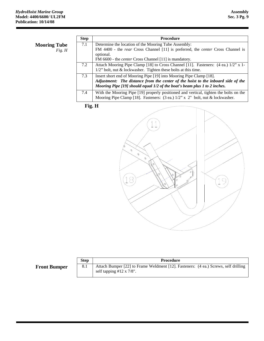|                               | <b>Step</b> | <b>Procedure</b>                                                                                                                                                                                                                     |
|-------------------------------|-------------|--------------------------------------------------------------------------------------------------------------------------------------------------------------------------------------------------------------------------------------|
| <b>Mooring Tube</b><br>Fig. H | 7.1         | Determine the location of the Mooring Tube Assembly:<br>FM 4400 - the <i>rear</i> Cross Channel [11] is preferred, the <i>center</i> Cross Channel is<br>optional.<br>FM 6600 - the <i>center</i> Cross Channel [11] is mandatory.   |
|                               | 7.2         | Attach Mooring Pipe Clamp [18] to Cross Channel [11]. Fasteners: $(4 \text{ ea.}) 1/2$ " x 1-<br>$1/2$ " bolt, nut & lockwasher. Tighten these bolts at this time.                                                                   |
|                               | 7.3         | Insert short end of Mooring Pipe [19] into Mooring Pipe Clamp [18].<br>Adjustment: The distance from the center of the hoist to the inboard side of the<br>Mooring Pipe [19] should equal 1/2 of the boat's beam plus 1 to 2 inches. |
|                               | 7.4         | With the Mooring Pipe [19] properly positioned and vertical, tighten the bolts on the<br>Mooring Pipe Clamp [18]. Fasteners: (3 ea.) 1/2" x 2" bolt, nut & lockwasher.                                                               |

**Fig. H** 



|                     | <b>Step</b> | <b>Procedure</b>                                                                                                   |
|---------------------|-------------|--------------------------------------------------------------------------------------------------------------------|
| <b>Front Bumper</b> | 8.1         | Attach Bumper [22] to Frame Weldment [12]. Fasteners: (4 ea.) Screws, self drilling<br>self tapping #12 x $7/8$ ". |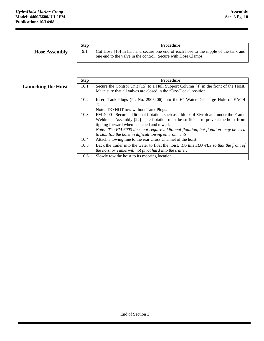**Hose Assembly** 

| <b>Step</b> | <b>Procedure</b>                                                                                                                                     |
|-------------|------------------------------------------------------------------------------------------------------------------------------------------------------|
| 9.1         | Cut Hose [16] in half and secure one end of each hose to the nipple of the tank and<br>one end to the valve in the control. Secure with Hose Clamps. |

| <b>Launching the Hoist</b> |  |  |
|----------------------------|--|--|
|                            |  |  |

|                            | <b>Step</b> | <b>Procedure</b>                                                                        |
|----------------------------|-------------|-----------------------------------------------------------------------------------------|
| <b>Launching the Hoist</b> | 10.1        | Secure the Control Unit [15] to a Hull Support Column [4] in the front of the Hoist.    |
|                            |             | Make sure that all valves are closed in the "Dry-Dock" position.                        |
|                            | 10.2        | Insert Tank Plugs (Pt. No. 2905406) into the 6" Water Discharge Hole of EACH            |
|                            |             | Tank.                                                                                   |
|                            |             | Note: DO NOT tow without Tank Plugs.                                                    |
|                            | 10.3        | FM 4000 - Secure additional flotation, such as a block of Styrofoam, under the Frame    |
|                            |             | Weldment Assembly $[22]$ - the flotation must be sufficient to prevent the hoist from   |
|                            |             | tipping forward when launched and towed.                                                |
|                            |             | Note: The FM 6000 does not require additional flotation, but flotation may be used      |
|                            |             | to stabilize the hoist in difficult towing environments.                                |
|                            | 10.4        | Attach a towing line to the rear Cross Channel of the hoist.                            |
|                            | 10.5        | Back the trailer into the water to float the hoist. Do this SLOWLY so that the front of |
|                            |             | the hoist or Tanks will not pivot hard into the trailer.                                |
|                            | 10.6        | Slowly tow the hoist to its mooring location.                                           |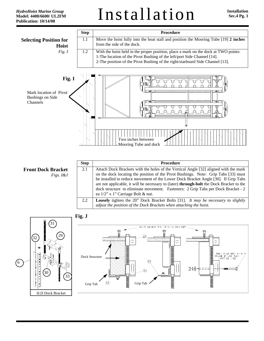Installation **Installation Installation** 



**Front Dock Bracket**  *Figs. I&J* 

| <b>Step</b> | Procedure                                                                                                                                                                                                                                                                                                                                                                                                                                                                                     |
|-------------|-----------------------------------------------------------------------------------------------------------------------------------------------------------------------------------------------------------------------------------------------------------------------------------------------------------------------------------------------------------------------------------------------------------------------------------------------------------------------------------------------|
| 2.1         | Attach Dock Brackets with the holes of the Vertical Angle [32] aligned with the mark<br>on the dock locating the position of the Pivot Bushings. Note: Grip Tabs [33] must<br>be installed to reduce movement of the Lower Dock Bracket Angle [30]. If Grip Tabs<br>are not applicable, it will be necessary to (later) <b>through-bolt</b> the Dock Bracket to the<br>dock structure to eliminate movement. Fasteners: 2 Grip Tabs per Dock Bracket - 2<br>ea 1/2" x 1" Carriage Bolt & nut. |
| 2.2         | <b>Loosely</b> tighten the 20" Dock Bracket Bolts [31]. It may be necessary to slightly<br>adjust the position of the Dock Brackets when attaching the hoist.                                                                                                                                                                                                                                                                                                                                 |



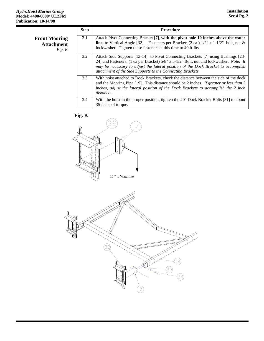|                                                       | <b>Step</b> | <b>Procedure</b>                                                                                                                                                                                                                                                                                                                          |
|-------------------------------------------------------|-------------|-------------------------------------------------------------------------------------------------------------------------------------------------------------------------------------------------------------------------------------------------------------------------------------------------------------------------------------------|
| <b>Front Mooring</b><br><b>Attachment</b><br>Fig. $K$ | 3.1         | Attach Pivot Connecting Bracket [7], with the pivot hole 10 inches above the water<br><b>line</b> , to Vertical Angle [32]. Fasteners per Bracket: (2 ea.) $1/2$ " x $1-1/2$ " bolt, nut &<br>lockwasher. Tighten these fasteners at this time to 40 ft-lbs.                                                                              |
|                                                       | 3.2         | Attach Side Supports [13-14] to Pivot Connecting Brackets [7] using Bushings [23-14]<br>24] and Fasteners: (1 ea per Bracket) 5/8" x 3-1/2" Bolt, nut and lockwasher. <i>Note:</i> It<br>may be necessary to adjust the lateral position of the Dock Bracket to accomplish<br>attachment of the Side Supports to the Connecting Brackets. |
|                                                       | 3.3         | With hoist attached to Dock Brackets, check the distance between the side of the dock<br>and the Mooring Pipe [19]. This distance should be 2 inches. If greater or less than 2<br>inches, adjust the lateral position of the Dock Brackets to accomplish the 2 inch<br>distance                                                          |
|                                                       | 3.4         | With the hoist in the proper position, tighten the 20" Dock Bracket Bolts [31] to about<br>35 ft-lbs of torque.                                                                                                                                                                                                                           |





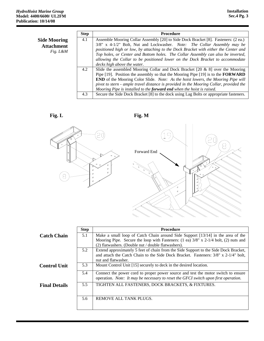|                     | <b>Step</b> | <b>Procedure</b>                                                                               |
|---------------------|-------------|------------------------------------------------------------------------------------------------|
| <b>Side Mooring</b> | 4.1         | Assemble Mooring Collar Assembly [20] to Side Dock Bracket [8]. Fasteners: (2 ea.)             |
| <b>Attachment</b>   |             | $3/8$ " x 4-1/2" Bolt, Nut and Lockwasher. Note: The Collar Assembly may be                    |
| Fig. L&M            |             | positioned high or low, by attaching to the Dock Bracket with either the Center and            |
|                     |             | Top holes, or Center and Bottom holes. The Collar Assembly can also be inverted,               |
|                     |             | allowing the Collar to be positioned lower on the Dock Bracket to accommodate                  |
|                     |             | decks high above the water.                                                                    |
|                     | 4.2         | Slide the assembled Mooring Collar and Dock Bracket $[20 \& 8]$ over the Mooring               |
|                     |             | Pipe $[19]$ . Position the assembly so that the Mooring Pipe $[19]$ is to the <b>FORWARD</b>   |
|                     |             | <b>END</b> of the Mooring Color Slide. <i>Note:</i> As the hoist lowers, the Mooring Pipe will |
|                     |             | pivot to stern - ample travel distance is provided in the Mooring Collar, provided the         |
|                     |             | Mooring Pipe is installed to the forward end when the hoist is raised.                         |
|                     | 4.3         | Secure the Side Dock Bracket [8] to the dock using Lag Bolts or appropriate fasteners.         |



Fig. L Fig. M



|                      | <b>Step</b> | <b>Procedure</b>                                                                     |
|----------------------|-------------|--------------------------------------------------------------------------------------|
| <b>Catch Chain</b>   | 5.1         | Make a small loop of Catch Chain around Side Support [13/14] in the area of the      |
|                      |             | Mooring Pipe. Secure the loop with Fasteners: (1 ea) 3/8" x 2-1/4 bolt, (2) nuts and |
|                      |             | (2) flatwashers. (Double nut / double flatwashers).                                  |
|                      | 5.2         | Extend approximately 5 feet of chain from the Side Support to the Side Dock Bracket, |
|                      |             | and attach the Catch Chain to the Side Dock Bracket. Fasteners: 3/8" x 2-1/4" bolt,  |
|                      |             | nut and flatwasher.                                                                  |
| <b>Control Unit</b>  | 5.3         | Mount Control Unit [15] securely to deck in the desired location.                    |
|                      | 5.4         | Connect the power cord to proper power source and test the motor switch to ensure    |
|                      |             | operation. Note: It may be necessary to reset the GFCI switch upon first operation.  |
| <b>Final Details</b> | 5.5         | TIGHTEN ALL FASTENERS, DOCK BRACKETS, & FIXTURES.                                    |
|                      | 5.6         | REMOVE ALL TANK PLUGS.                                                               |
|                      |             |                                                                                      |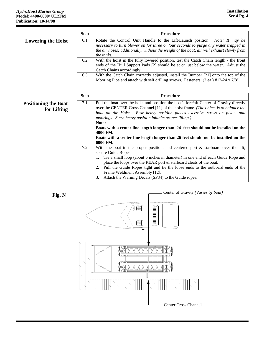|                                            | <b>Step</b> | <b>Procedure</b>                                                                                                                                                                                                                                                                                                                                                                                                                                                                                                                         |
|--------------------------------------------|-------------|------------------------------------------------------------------------------------------------------------------------------------------------------------------------------------------------------------------------------------------------------------------------------------------------------------------------------------------------------------------------------------------------------------------------------------------------------------------------------------------------------------------------------------------|
| <b>Lowering the Hoist</b>                  | 6.1         | Rotate the Control Unit Handle to the Lift/Launch position. Note: It may be<br>necessary to turn blower on for three or four seconds to purge any water trapped in<br>the air hoses; additionally, without the weight of the boat, air will exhaust slowly from<br>the tanks.                                                                                                                                                                                                                                                            |
|                                            | 6.2         | With the hoist in the fully lowered position, test the Catch Chain length - the front<br>ends of the Hull Support Pads [2] should be at or just below the water. Adjust the<br>Catch Chains accordingly.                                                                                                                                                                                                                                                                                                                                 |
|                                            | 6.3         | With the Catch Chain correctly adjusted, install the Bumper [21] onto the top of the<br>Mooring Pipe and attach with self drilling screws. Fasteners: (2 ea.) #12-24 x 7/8".                                                                                                                                                                                                                                                                                                                                                             |
|                                            | <b>Step</b> | Procedure                                                                                                                                                                                                                                                                                                                                                                                                                                                                                                                                |
| <b>Positioning the Boat</b><br>for Lifting | 7.1         | Pull the boat over the hoist and position the boat's fore/aft Center of Gravity directly<br>over the CENTER Cross Channel [11] of the hoist frame. (The object is to balance the<br>boat on the Hoist. Bow heavy position places excessive stress on pivots and<br>moorings. Stern heavy position inhibits proper lifting.)<br>Note:<br>Boats with a center line length longer than 24 feet should not be installed on the<br>4000 FM.<br>Boats with a center line length longer than 26 feet should not be installed on the<br>6000 FM. |
|                                            | 7.2         | With the boat in the proper position, and centered port $\&$ starboard over the lift,<br>secure Guide Ropes:<br>1. Tie a small loop (about 6 inches in diameter) in one end of each Guide Rope and<br>place the loops over the REAR port & starboard cleats of the boat.<br>Pull the Guide Ropes tight and tie the loose ends to the outboard ends of the<br>2.<br>Frame Weldment Assembly [12].<br>Attach the Warning Decals (SP34) to the Guide ropes.<br>3.                                                                           |



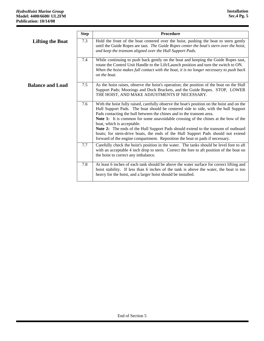r

|                         | <b>Step</b> | <b>Procedure</b>                                                                                                                                                                                                                                                                                                                                                                                                                                                                                                                                                                                                                        |
|-------------------------|-------------|-----------------------------------------------------------------------------------------------------------------------------------------------------------------------------------------------------------------------------------------------------------------------------------------------------------------------------------------------------------------------------------------------------------------------------------------------------------------------------------------------------------------------------------------------------------------------------------------------------------------------------------------|
| <b>Lifting the Boat</b> | 7.3         | Hold the front of the boat centered over the hoist, pushing the boat to stern gently<br>until the Guide Ropes are taut. The Guide Ropes center the boat's stern over the hoist,<br>and keep the transom aligned over the Hull Support Pads.                                                                                                                                                                                                                                                                                                                                                                                             |
|                         | 7.4         | While continuing to push back gently on the boat and keeping the Guide Ropes taut,<br>rotate the Control Unit Handle to the Lift/Launch position and turn the switch to ON.<br>When the hoist makes full contact with the boat, it is no longer necessary to push back<br>on the boat.                                                                                                                                                                                                                                                                                                                                                  |
| <b>Balance and Load</b> | 7.5         | As the hoist raises, observe the hoist's operation; the position of the boat on the Hull<br>Support Pads; Moorings and Dock Brackets, and the Guide Ropes. STOP, LOWER<br>THE HOIST, AND MAKE ADJUSTMENTS IF NECESSARY.                                                                                                                                                                                                                                                                                                                                                                                                                 |
|                         | 7.6         | With the hoist fully raised, carefully observe the boat's position on the hoist and on the<br>Hull Support Pads. The boat should be centered side to side, with the hull Support<br>Pads contacting the hull between the chines and to the transom area.<br>Note 1: It is common for some unavoidable crossing of the chines at the bow of the<br>boat, which is acceptable.<br>Note 2: The ends of the Hull Support Pads should extend to the transom of outboard<br>boats; for stern-drive boats, the ends of the Hull Support Pads should not extend<br>forward of the engine compartment. Reposition the boat or pads if necessary. |
|                         | 7.7         | Carefully check the hoist's position in the water. The tanks should be level fore to aft<br>with an acceptable 4 inch drop to stern. Correct the fore to aft position of the boat on<br>the hoist to correct any imbalance.                                                                                                                                                                                                                                                                                                                                                                                                             |
|                         | 7.8         | At least 6 inches of each tank should be above the water surface for correct lifting and<br>hoist stability. If less than 6 inches of the tank is above the water, the boat is too<br>heavy for the hoist, and a larger hoist should be installed.                                                                                                                                                                                                                                                                                                                                                                                      |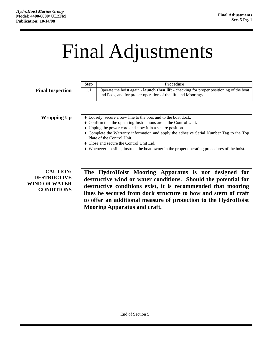## Final Adjustments

|                                                               | <b>Step</b>                                                                                                           | <b>Procedure</b>                                                                                                                                                                                 |  |  |
|---------------------------------------------------------------|-----------------------------------------------------------------------------------------------------------------------|--------------------------------------------------------------------------------------------------------------------------------------------------------------------------------------------------|--|--|
| <b>Final Inspection</b>                                       | 1.1                                                                                                                   | Operate the hoist again - launch then lift - checking for proper positioning of the boat<br>and Pads, and for proper operation of the lift, and Moorings.                                        |  |  |
|                                                               |                                                                                                                       |                                                                                                                                                                                                  |  |  |
| <b>Wrapping Up</b>                                            |                                                                                                                       | • Loosely, secure a bow line to the boat and to the boat dock.                                                                                                                                   |  |  |
|                                                               |                                                                                                                       | • Confirm that the operating Instructions are in the Control Unit.                                                                                                                               |  |  |
|                                                               |                                                                                                                       | • Unplug the power cord and stow it in a secure position.                                                                                                                                        |  |  |
|                                                               | • Complete the Warranty information and apply the adhesive Serial Number Tag to the Top<br>Plate of the Control Unit. |                                                                                                                                                                                                  |  |  |
|                                                               | • Close and secure the Control Unit Lid.                                                                              |                                                                                                                                                                                                  |  |  |
|                                                               | • Whenever possible, instruct the boat owner in the proper operating procedures of the hoist.                         |                                                                                                                                                                                                  |  |  |
|                                                               |                                                                                                                       |                                                                                                                                                                                                  |  |  |
| <b>CAUTION:</b><br><b>DESTRUCTIVE</b><br><b>WIND OR WATER</b> |                                                                                                                       | The HydroHoist Mooring Apparatus is not designed for<br>destructive wind or water conditions. Should the potential for                                                                           |  |  |
| <b>CONDITIONS</b>                                             |                                                                                                                       | destructive conditions exist, it is recommended that mooring<br>lines be secured from dock structure to bow and stern of craft<br>to offer an additional measure of protection to the HydroHoist |  |  |

**Mooring Apparatus and craft.**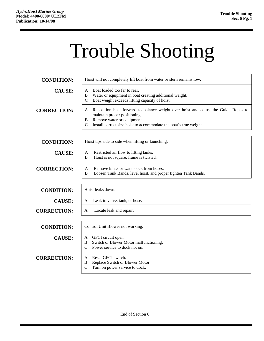# Trouble Shooting

| <b>CONDITION:</b>  | Hoist will not completely lift boat from water or stern remains low.                                                                                                                                                                             |
|--------------------|--------------------------------------------------------------------------------------------------------------------------------------------------------------------------------------------------------------------------------------------------|
| <b>CAUSE:</b>      | Boat loaded too far to rear.<br>A<br>Water or equipment in boat creating additional weight.<br>B<br>Boat weight exceeds lifting capacity of hoist.<br>$\mathcal{C}$                                                                              |
| <b>CORRECTION:</b> | Reposition boat forward to balance weight over hoist and adjust the Guide Ropes to<br>A<br>maintain proper positioning.<br>Remove water or equipment.<br>B<br>Install correct size hoist to accommodate the boat's true weight.<br>$\mathcal{C}$ |
| <b>CONDITION:</b>  | Hoist tips side to side when lifting or launching.                                                                                                                                                                                               |
| <b>CAUSE:</b>      | Restricted air flow to lifting tanks.<br>A<br>Hoist is not square, frame is twisted.<br>B                                                                                                                                                        |
| <b>CORRECTION:</b> | Remove kinks or water-lock from hoses.<br>A<br>B<br>Loosen Tank Bands, level hoist, and proper tighten Tank Bands.                                                                                                                               |
| <b>CONDITION:</b>  | Hoist leaks down.                                                                                                                                                                                                                                |
| <b>CAUSE:</b>      | Leak in valve, tank, or hose.<br>A                                                                                                                                                                                                               |
| <b>CORRECTION:</b> | Locate leak and repair.<br>A                                                                                                                                                                                                                     |
| <b>CONDITION:</b>  | Control Unit Blower not working.                                                                                                                                                                                                                 |
| <b>CAUSE:</b>      | GFCI circuit open.<br>A<br>B<br>Switch or Blower Motor malfunctioning.<br>Power service to dock not on.<br>$\mathcal{C}$                                                                                                                         |
| <b>CORRECTION:</b> | Reset GFCI switch.<br>A<br>Replace Switch or Blower Motor.<br>B<br>$\mathcal{C}$<br>Turn on power service to dock.                                                                                                                               |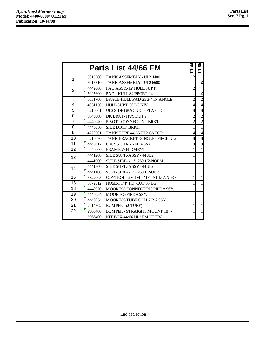r

| Parts List 44/66 FM |         |                                         |                | 66<br>티        |
|---------------------|---------|-----------------------------------------|----------------|----------------|
| 1                   | 5015500 | TANK ASSEMBLY - UL2 4400                | $\overline{2}$ |                |
|                     | 5015510 | TANK ASSEMBLY - UL2 6600                |                | $\overline{2}$ |
| $\overline{2}$      | 4442000 | PAD ASSY.-12' HULL SUPT.                | $\overline{2}$ |                |
|                     | 5025600 | PAD - HULL SUPPORT-14'                  |                | $\overline{c}$ |
| 3                   | 3031700 | BRACE-HULL PAD-25 3/4 IN ANGLE          | $\overline{c}$ | $\overline{c}$ |
| 4                   | 4031150 | <b>HULL SUPT COL UNIV</b>               | 4              | $\overline{4}$ |
| 5                   | 4210001 | UL2 SIDE BRACKET - PLASTIC              | 8              | 8              |
| 6                   | 5049000 | DK BRKT-HVY DUTY                        | $\overline{2}$ | $\overline{c}$ |
| $\overline{7}$      | 4440040 | PIVOT - CONNECTING BRKT.                | $\overline{2}$ | $\overline{c}$ |
| 8                   | 4440050 | SIDE DOCK BRKT.                         | 1              | $\mathbf{1}$   |
| 9                   | 4220501 | TANK TUBE 44/66 UL2 GATOR               | 4              | $\overline{4}$ |
| 10                  | 4210070 | <b>TANK BRACKET -SINGLE - PIECE UL2</b> | 8              | 8              |
| 11                  | 4440012 | <b>CROSS CHANNEL ASSY.</b>              | 3              | $\overline{3}$ |
| 12                  | 4440000 | <b>FRAME WELDMENT</b>                   | 1              | $\mathbf{1}$   |
| 13                  | 4441200 | SIDE SUPT.-ASSY-44UL2                   | 1              |                |
|                     | 4441000 | SUPT-SIDE-6" @ 260 1/2-NORM             |                | 1              |
| 14                  | 4441300 | SIDE SUPT.-ASSY - 44UL2                 | 1              |                |
|                     | 4441100 | SUPT-SIDE-6" @ 260 1/2-OPP              |                | $\mathbf{1}$   |
| 15                  | 5822005 | CONTROL - 2V-1M - METAL MANIFO          | 1              | 1              |
| 16                  | 3072512 | HOSE-1 1/4" I.D. CUT 30'LG              | 1              | 1              |
| 18                  | 4440020 | MOORING CONNECTING PIPE ASSY.           | 1              | 1              |
| 19                  | 4440034 | MOORING PIPE ASSY.                      | 1              | $\mathbf{1}$   |
| 20                  | 4440054 | MOORING TUBE COLLAR ASSY.               | 1              | 1              |
| 21                  | 2914702 | <b>BUMPER - (J-TUBE)</b>                | 1              | 1              |
| 22                  | 2908400 | <b>BUMPER - STRAIGHT MOUNT 18" -</b>    | 1              | $\mathbf{1}$   |
|                     | 6966400 | KIT BOX-44/66 UL2 FM ULTRA              | 1              | $\mathbf{1}$   |